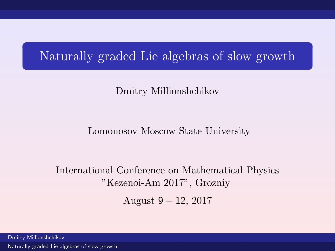# Naturally graded Lie algebras of slow growth

### Dmitry Millionshchikov

#### Lomonosov Moscow State University

### International Conference on Mathematical Physics "Kezenoi-Am 2017", Grozniy

<span id="page-0-0"></span>August 9 − 12, 2017

Dmitry Millionshchikov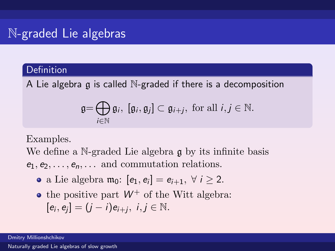## N-graded Lie algebras

### **Definition**

A Lie algebra  $\alpha$  is called N-graded if there is a decomposition

$$
\mathfrak{g}=\bigoplus_{i\in\mathbb{N}}\mathfrak{g}_i, [\mathfrak{g}_i, \mathfrak{g}_j]\subset \mathfrak{g}_{i+j}, \text{ for all } i,j\in\mathbb{N}.
$$

Examples.

We define a N-graded Lie algebra q by its infinite basis  $e_1, e_2, \ldots, e_n, \ldots$  and commutation relations.

- a Lie algebra  $\mathfrak{m}_0$ :  $[e_1, e_i] = e_{i+1}, \forall i \geq 2$ .
- the positive part  $W^+$  of the Witt algebra:

$$
[e_i,e_j]=(j-i)e_{i+j},\ i,j\in\mathbb{N}.
$$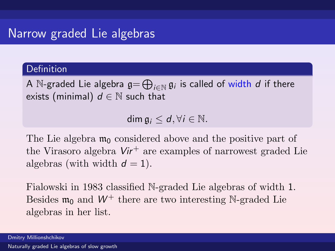### Narrow graded Lie algebras

#### Definition

A  $\mathbb N$ -graded Lie algebra  $\mathfrak g = \bigoplus_{i \in \mathbb N} \mathfrak g_i$  is called of width  $d$  if there exists (minimal)  $d \in \mathbb{N}$  such that

dim  $\mathfrak{a}_i \leq d$ ,  $\forall i \in \mathbb{N}$ .

The Lie algebra  $m_0$  considered above and the positive part of the Virasoro algebra  $Vir^+$  are examples of narrowest graded Lie algebras (with width  $d = 1$ ).

Fialowski in 1983 classified N-graded Lie algebras of width 1. Besides  $\mathfrak{m}_0$  and  $W^+$  there are two interesting N-graded Lie algebras in her list.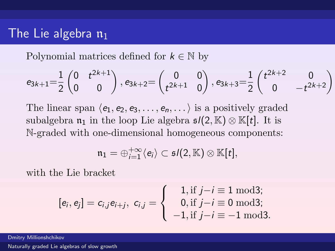### The Lie algebra  $\mathfrak{n}_1$

Polynomial matrices defined for  $k \in \mathbb{N}$  by

$$
e_{3k+1} = \!\frac{1}{2} \begin{pmatrix} 0 & t^{2k+1} \\ 0 & 0 \end{pmatrix}, e_{3k+2} = \begin{pmatrix} 0 & 0 \\ t^{2k+1} & 0 \end{pmatrix}, e_{3k+3} = \!\frac{1}{2} \begin{pmatrix} t^{2k+2} & 0 \\ 0 & -t^{2k+2} \end{pmatrix}
$$

The linear span  $\langle e_1, e_2, e_3, \ldots, e_n, \ldots \rangle$  is a positively graded subalgebra  $\mathfrak{n}_1$  in the loop Lie algebra  $\mathfrak{sl}(2,\mathbb{K})\otimes \mathbb{K}[t]$ . It is N-graded with one-dimensional homogeneous components:

$$
\mathfrak{n}_1=\oplus_{i=1}^{+\infty}\langle e_i\rangle\subset \mathfrak{s}\textit{l}(2,\mathbb{K})\otimes\mathbb{K}[t],
$$

with the Lie bracket

$$
[e_i, e_j] = c_{i,j} e_{i+j}, \ c_{i,j} = \begin{cases} 1, \text{if } j - i \equiv 1 \text{ mod } 3; \\ 0, \text{if } j - i \equiv 0 \text{ mod } 3; \\ -1, \text{if } j - i \equiv -1 \text{ mod } 3. \end{cases}
$$

Dmitry Millionshchikov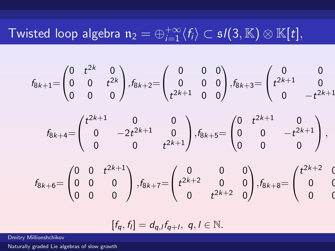# Twisted loop algebra  $\mathfrak{n}_2 = \oplus_{i=1}^{+\infty}\langle f_i \rangle \subset \mathfrak sl(3,\mathbb K)\otimes \mathbb K[t],$

$$
f_{8k+1} = \begin{pmatrix} 0 & t^{2k} & 0 \\ 0 & 0 & t^{2k} \\ 0 & 0 & 0 \end{pmatrix}, f_{8k+2} = \begin{pmatrix} 0 & 0 & 0 \\ 0 & 0 & 0 \\ t^{2k+1} & 0 & 0 \end{pmatrix}, f_{8k+3} = \begin{pmatrix} 0 & 0 & 0 \\ t^{2k+1} & 0 & 0 \\ 0 & -t^{2k+1} & 0 \end{pmatrix}
$$

$$
f_{8k+4} = \begin{pmatrix} t^{2k+1} & 0 & 0 \\ 0 & -2t^{2k+1} & 0 \\ 0 & 0 & t^{2k+1} \end{pmatrix}, f_{8k+5} = \begin{pmatrix} 0 & t^{2k+1} & 0 \\ 0 & 0 & -t^{2k+1} \\ 0 & 0 & 0 \end{pmatrix},
$$

$$
f_{8k+6} = \begin{pmatrix} 0 & 0 & t^{2k+1} \\ 0 & 0 & 0 \\ 0 & 0 & 0 \end{pmatrix}, f_{8k+7} = \begin{pmatrix} 0 & 0 & 0 \\ t^{2k+2} & 0 & 0 \\ 0 & t^{2k+2} & 0 \end{pmatrix}, f_{8k+8} = \begin{pmatrix} t^{2k+2} & 0 & 0 \\ 0 & 0 & 0 \\ 0 & 0 & 0 \end{pmatrix}
$$

$$
[f_q, f_l] = d_{q,l} f_{q+l}, q, l \in \mathbb{N}.
$$

Dmitry Millionshchikov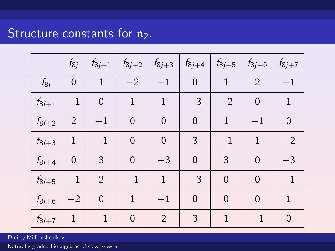# Structure constants for  $n_2$ .

|            | $f_{8i}$       | $f_{8j+1}$     | $f_{8j+2}$     | $f_{8j+3}$     | $f_{8j+4}$     | $f_{8j+5}$     | $f_{8j+6}$     | $f_{8j+7}$   |
|------------|----------------|----------------|----------------|----------------|----------------|----------------|----------------|--------------|
| $f_{8i}$   | $\mathbf 0$    | 1              | $-2$           | $^{-1}$        | 0              | 1              | 2              | $^{-1}$      |
| $f_{8i+1}$ | $^{-1}$        | $\mathbf 0$    | 1              | $\mathbf{1}$   | $-3$           | $-2$           | $\mathbf 0$    | 1            |
| $f_{8i+2}$ | $\overline{2}$ | $^{-1}$        | $\mathbf 0$    | $\mathbf 0$    | $\overline{0}$ | 1              | $-1$           | $\mathbf 0$  |
| $f_{8i+3}$ | $\mathbf{1}$   | $^{-1}$        | $\mathbf 0$    | $\mathbf 0$    | 3              | $^{-1}$        | 1              | $-2$         |
| $f_{8i+4}$ | $\mathbf 0$    | 3              | $\mathbf 0$    | $-3$           | $\overline{0}$ | 3              | $\overline{0}$ | $-3$         |
| $f_{8i+5}$ | $-1$           | $\overline{2}$ | $-1$           | $\mathbf{1}$   | $-3$           | $\mathbf 0$    | $\mathbf 0$    | $^{-1}$      |
| $f_{8i+6}$ | $-2$           | $\overline{0}$ | $\mathbf{1}$   | $-1$           | $\overline{0}$ | $\overline{0}$ | $\overline{0}$ | $\mathbf{1}$ |
| $f_{8i+7}$ | 1              | $-1$           | $\overline{0}$ | $\overline{2}$ | 3              | 1              | $-1$           | 0            |

Dmitry Millionshchikov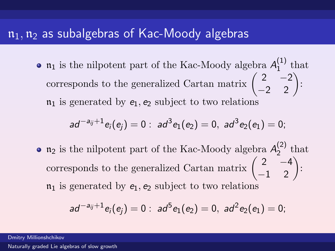### $n_1$ ,  $n_2$  as subalgebras of Kac-Moody algebras

 $\mathfrak{n}_1$  is the nilpotent part of the Kac-Moody algebra  $A_1^{(1)}$  $_1^{\text{L}}$  that corresponds to the generalized Cartan matrix  $\begin{pmatrix} 2 & -2 \\ -2 & 2 \end{pmatrix}$ :  $\mathfrak{n}_1$  is generated by  $e_1, e_2$  subject to two relations

$$
ad^{-a_{ij}+1}e_i(e_j)=0: ad^3e_1(e_2)=0, ad^3e_2(e_1)=0;
$$

 $\mathfrak{n}_2$  is the nilpotent part of the Kac-Moody algebra  $A_2^{(2)}$  $_2^{(2)}$  that corresponds to the generalized Cartan matrix  $\begin{pmatrix} 2 & -4 \\ -1 & 2 \end{pmatrix}$ :  $\mathfrak{n}_1$  is generated by  $e_1, e_2$  subject to two relations

$$
ad^{-a_{ij}+1}e_i(e_j)=0: ad^5e_1(e_2)=0, ad^2e_2(e_1)=0;
$$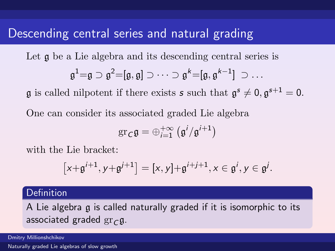### Descending central series and natural grading

Let  $\mathfrak g$  be a Lie algebra and its descending central series is

$$
\mathfrak{g}^1 = \mathfrak{g} \supset \mathfrak{g}^2 = [\mathfrak{g}, \mathfrak{g}] \supset \cdots \supset \mathfrak{g}^k = [\mathfrak{g}, \mathfrak{g}^{k-1}] \supset \dots
$$

 $\mathfrak g$  is called nilpotent if there exists **s** such that  $\mathfrak g^s \neq 0, \mathfrak g^{s+1} = 0$ .

One can consider its associated graded Lie algebra

$$
\operatorname{gr}_{\mathcal{C}}\mathfrak{g}=\oplus_{i=1}^{+\infty}\left(\mathfrak{g}^i/\mathfrak{g}^{i+1}\right)
$$

with the Lie bracket:

$$
\big[x+{\mathfrak g}^{i+1},y+{\mathfrak g}^{j+1}\big]=[x,y]+{\mathfrak g}^{i+j+1},x\in{\mathfrak g}^i,y\in{\mathfrak g}^j.
$$

#### Definition

A Lie algebra g is called naturally graded if it is isomorphic to its associated graded  $gr_C g$ .

Dmitry Millionshchikov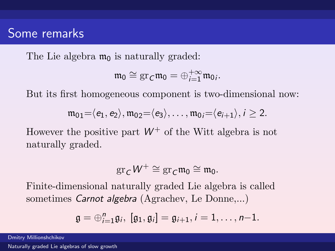### Some remarks

The Lie algebra  $m_0$  is naturally graded:

$$
\mathfrak{m}_0\cong \mathrm{gr}_{\mathcal{C}}\mathfrak{m}_0=\oplus_{i=1}^{+\infty}\mathfrak{m}_{0i}.
$$

But its first homogeneous component is two-dimensional now:

$$
\mathfrak{m}_{01}=\langle e_1,e_2\rangle, \mathfrak{m}_{02}=\langle e_3\rangle, \ldots, \mathfrak{m}_{0i}=\langle e_{i+1}\rangle, i\geq 2.
$$

However the positive part  $W^+$  of the Witt algebra is not naturally graded.

$$
\operatorname{gr}_{\mathcal{C}}\mathcal{W}^+\cong \operatorname{gr}_{\mathcal{C}}\mathfrak{m}_0\cong \mathfrak{m}_0.
$$

Finite-dimensional naturally graded Lie algebra is called sometimes Carnot algebra (Agrachev, Le Donne,...)

$$
\mathfrak{g}=\oplus_{i=1}^n\mathfrak{g}_i,\ [\mathfrak{g}_1,\mathfrak{g}_i]=\mathfrak{g}_{i+1}, i=1,\ldots,n{-}1.
$$

Dmitry Millionshchikov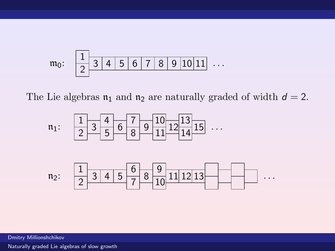

The Lie algebras  $\mathfrak{n}_1$  and  $\mathfrak{n}_2$  are naturally graded of width  $d = 2$ .





Dmitry Millionshchikov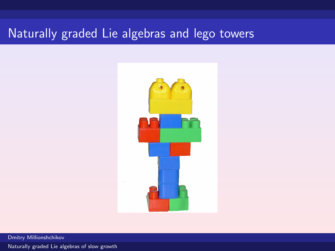# Naturally graded Lie algebras and lego towers



Dmitry Millionshchikov [Naturally graded Lie algebras of slow growth](#page-0-0)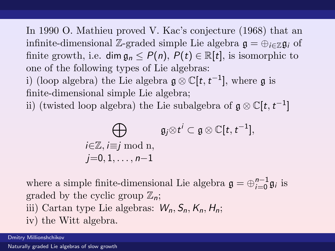In 1990 O. Mathieu proved V. Kac's conjecture (1968) that an infinite-dimensional Z-graded simple Lie algebra  $\mathfrak{g} = \bigoplus_{i \in \mathbb{Z}} \mathfrak{g}_i$  of finite growth, i.e. dim  $a_n \le P(n)$ ,  $P(t) \in \mathbb{R}[t]$ , is isomorphic to one of the following types of Lie algebras:

i) (loop algebra) the Lie algebra  $\mathfrak{g} \otimes \mathbb{C}[t, t^{-1}]$ , where  $\mathfrak{g}$  is finite-dimensional simple Lie algebra;

ii) (twisted loop algebra) the Lie subalgebra of  $\mathfrak{g} \otimes \mathbb{C}[t, t^{-1}]$ 

$$
\bigoplus_{\substack{i\in\mathbb{Z},\\j=0,\\i,\ldots,n-1}}\mathfrak{g}_j\otimes t^i\subset\mathfrak{g}\otimes\mathbb{C}[t,t^{-1}],
$$

where a simple finite-dimensional Lie algebra  $\mathfrak{g} = \bigoplus_{i=0}^{n-1} \mathfrak{g}_i$  is graded by the cyclic group  $\mathbb{Z}_n$ ; iii) Cartan type Lie algebras:  $W_n$ ,  $S_n$ ,  $K_n$ ,  $H_n$ ; iv) the Witt algebra.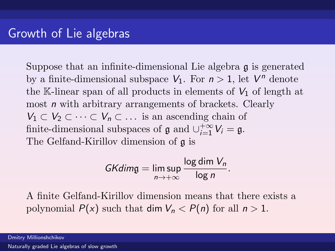Suppose that an infinite-dimensional Lie algebra g is generated by a finite-dimensional subspace  $V_1$ . For  $n > 1$ , let  $V^n$  denote the K-linear span of all products in elements of  $V_1$  of length at most *n* with arbitrary arrangements of brackets. Clearly  $V_1 \subset V_2 \subset \cdots \subset V_n \subset \ldots$  is an ascending chain of finite-dimensional subspaces of  $\mathfrak g$  and  $\cup_{i=1}^{+\infty} V_i = \mathfrak g$ . The Gelfand-Kirillov dimension of g is

$$
GKdim\mathfrak{g}=\limsup_{n\to+\infty}\frac{\log\dim V_n}{\log n}.
$$

A finite Gelfand-Kirillov dimension means that there exists a polynomial  $P(x)$  such that dim  $V_n < P(n)$  for all  $n > 1$ .

Dmitry Millionshchikov [Naturally graded Lie algebras of slow growth](#page-0-0)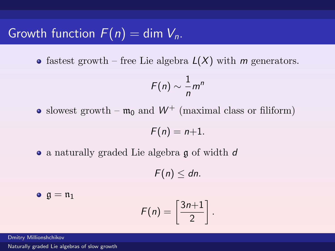# Growth function  $F(n) = \dim V_{n}$ .

• fastest growth – free Lie algebra  $L(X)$  with m generators.

$$
F(n) \sim \frac{1}{n}m^n
$$

• slowest growth –  $m_0$  and  $W^+$  (maximal class or filiform)

$$
F(n)=n+1.
$$

• a naturally graded Lie algebra g of width d

 $F(n) \leq dn$ .

2

.

 $\bullet$   $\mathfrak{g} = \mathfrak{n}_1$  $F(n) = \frac{3n+1}{2}$ 

Dmitry Millionshchikov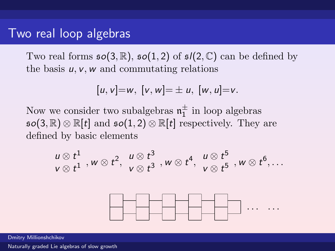### Two real loop algebras

Two real forms  $\mathfrak{so}(3,\mathbb{R})$ ,  $\mathfrak{so}(1,2)$  of  $\mathfrak{sl}(2,\mathbb{C})$  can be defined by the basis  $u, v, w$  and commutating relations

$$
[u, v] = w, [v, w] = \pm u, [w, u] = v.
$$

Now we consider two subalgebras  $\mathfrak{n}_1^{\pm}$  in loop algebras  $\mathfrak{so}(3,\mathbb{R})\otimes \mathbb{R}[t]$  and  $\mathfrak{so}(1,2)\otimes \mathbb{R}[t]$  respectively. They are defined by basic elements

$$
\frac{u\otimes t^1}{v\otimes t^1}, w\otimes t^2, \frac{u\otimes t^3}{v\otimes t^3}, w\otimes t^4, \frac{u\otimes t^5}{v\otimes t^5}, w\otimes t^6, \ldots
$$



Dmitry Millionshchikov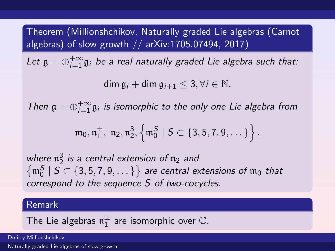Theorem (Millionshchikov, Naturally graded Lie algebras (Carnot algebras) of slow growth // arXiv:1705.07494, 2017)

Let  $\mathfrak{g}=\oplus_{i=1}^{+\infty}\mathfrak{g}_i$  be a real naturally graded Lie algebra such that:

 $\dim \mathfrak{g}_i + \dim \mathfrak{g}_{i+1} \leq 3, \forall i \in \mathbb{N}.$ 

Then  $\mathfrak{g} = \bigoplus_{i=1}^{+\infty} \mathfrak{g}_i$  is isomorphic to the only one Lie algebra from

$$
\mathfrak{m}_0,\mathfrak{n}_1^{\pm},\;\mathfrak{n}_2,\mathfrak{n}_2^3, \left\{\mathfrak{m}_0^{\mathcal{S}}\;|\; \mathcal{S} \subset \{3,5,7,9,\dots\}\right\},
$$

where  $\mathfrak{n}_2^3$  is a central extension of  $\mathfrak{n}_2$  and  $\left\{\mathfrak{m}_0^S \mid S \subset \{3,5,7,9,\dots\} \right\}$  are central extensions of  $\mathfrak{m}_0$  that correspond to the sequence S of two-cocycles.

#### Remark

The Lie algebras  $\mathfrak{n}^\pm_1$  are isomorphic over  $\mathbb C.$ 

Dmitry Millionshchikov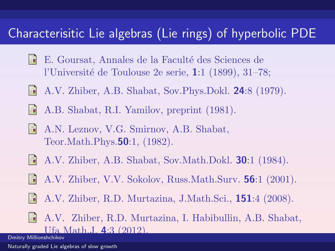### Characterisitic Lie algebras (Lie rings) of hyperbolic PDE

- F E. Goursat, Annales de la Faculté des Sciences de l'Université de Toulouse  $2e$  serie,  $1:1$  (1899), 31–78;
- H A.V. Zhiber, A.B. Shabat, Sov.Phys.Dokl. 24:8 (1979).
	- A.B. Shabat, R.I. Yamilov, preprint (1981).
- 量 A.N. Leznov, V.G. Smirnov, A.B. Shabat, Teor.Math.Phys.50:1, (1982).
- A.V. Zhiber, A.B. Shabat, Sov.Math.Dokl. **30**:1 (1984).
- A.V. Zhiber, V.V. Sokolov, Russ.Math.Surv. 56:1 (2001).
- A.V. Zhiber, R.D. Murtazina, J.Math.Sci., 151:4 (2008).
- A.V. Zhiber, R.D. Murtazina, I. Habibullin, A.B. Shabat, Ufa Math.J. 4:3 (2012).

Dmitry Millionshchikov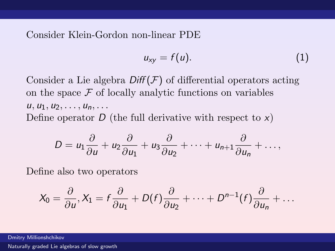Consider Klein-Gordon non-linear PDE

$$
u_{xy} = f(u). \tag{1}
$$

Consider a Lie algebra  $\text{Diff}(\mathcal{F})$  of differential operators acting on the space  $\mathcal F$  of locally analytic functions on variables  $u, u_1, u_2, \ldots, u_n, \ldots$ Define operator  $D$  (the full derivative with respect to  $x$ )

$$
D = u_1 \frac{\partial}{\partial u} + u_2 \frac{\partial}{\partial u_1} + u_3 \frac{\partial}{\partial u_2} + \cdots + u_{n+1} \frac{\partial}{\partial u_n} + \ldots,
$$

Define also two operators

$$
X_0=\frac{\partial}{\partial u}, X_1=f\frac{\partial}{\partial u_1}+D(f)\frac{\partial}{\partial u_2}+\cdots+D^{n-1}(f)\frac{\partial}{\partial u_n}+\ldots
$$

Dmitry Millionshchikov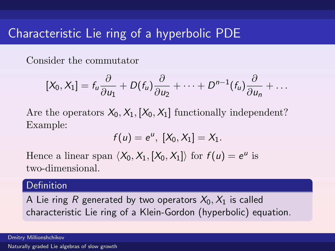### Characteristic Lie ring of a hyperbolic PDE

Consider the commutator

$$
[X_0, X_1] = f_u \frac{\partial}{\partial u_1} + D(f_u) \frac{\partial}{\partial u_2} + \cdots + D^{n-1}(f_u) \frac{\partial}{\partial u_n} + \ldots
$$

Are the operators  $X_0, X_1, [X_0, X_1]$  functionally independent? Example:

$$
f(u)=e^{u},\ [X_{0},X_{1}]=X_{1}.
$$

Hence a linear span  $\langle X_0, X_1, [X_0, X_1] \rangle$  for  $f(u) = e^u$  is two-dimensional.

#### Definition

A Lie ring R generated by two operators  $X_0, X_1$  is called characteristic Lie ring of a Klein-Gordon (hyperbolic) equation.

Dmitry Millionshchikov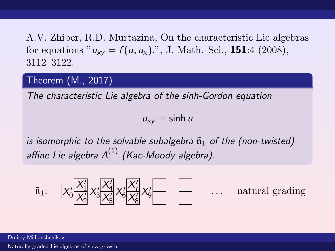A.V. Zhiber, R.D. Murtazina, On the characteristic Lie algebras for equations " $u_{xy} = f(u, u_x)$ .", J. Math. Sci., **151**:4 (2008), 3112–3122.

### Theorem (M., 2017)

The characteristic Lie algebra of the sinh-Gordon equation

 $u_{xy} = \sinh u$ 

is isomorphic to the solvable subalgebra  $\tilde{n}_1$  of the (non-twisted) affine Lie algebra  $A_1^{(1)}$  $1^{(1)}$  (Kac-Moody algebra).



Dmitry Millionshchikov [Naturally graded Lie algebras of slow growth](#page-0-0)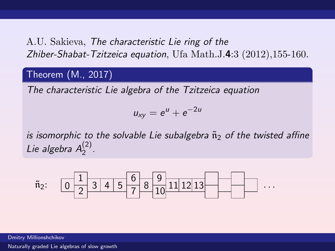### A.U. Sakieva, The characteristic Lie ring of the Zhiber-Shabat-Tzitzeica equation, Ufa Math.J.4:3 (2012),155-160.

### Theorem (M., 2017)

The characteristic Lie algebra of the Tzitzeica equation

$$
u_{xy}=e^u+e^{-2u}
$$

is isomorphic to the solvable Lie subalgebra  $\tilde{n}_2$  of the twisted affine Lie algebra  $A_2^{(2)}$  $\frac{(2)}{2}$ .



Dmitry Millionshchikov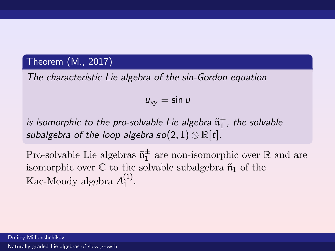#### Theorem (M., 2017)

The characteristic Lie algebra of the sin-Gordon equation

$$
u_{xy}=\sin u
$$

is isomorphic to the pro-solvable Lie algebra  $\tilde{\mathfrak{n}}_1^+$ , the solvable subalgebra of the loop algebra  $\mathfrak{so}(2,1)\otimes \mathbb R[t]$ .

Pro-solvable Lie algebras  $\tilde{\mathfrak{n}}_1^{\pm}$  are non-isomorphic over  $\mathbb R$  and are isomorphic over  $\mathbb C$  to the solvable subalgebra  $\tilde{\mathfrak{n}}_1$  of the Kac-Moody algebra  $A_1^{(1)}$  $\binom{1}{1}$ .